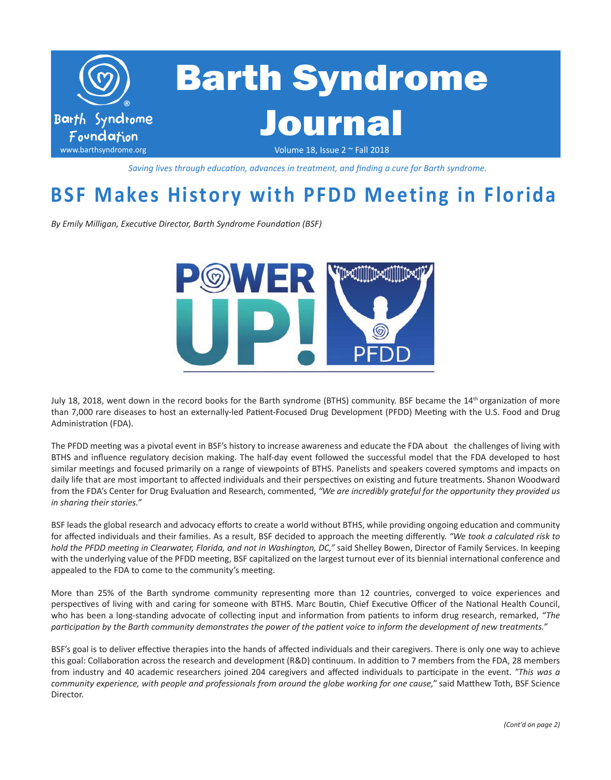

*Saving lives through education, advances in treatment, and finding a cure for Barth syndrome.*

## **BSF Makes History with PFDD Meeting in Florida**

*By Emily Milligan, Executive Director, Barth Syndrome Foundation (BSF)*



July 18, 2018, went down in the record books for the Barth syndrome (BTHS) community. BSF became the 14<sup>th</sup> organization of more than 7,000 rare diseases to host an externally-led Patient-Focused Drug Development (PFDD) Meeting with the U.S. Food and Drug Administration (FDA).

The PFDD meeting was a pivotal event in BSF's history to increase awareness and educate the FDA about the challenges of living with BTHS and influence regulatory decision making. The half-day event followed the successful model that the FDA developed to host similar meetings and focused primarily on a range of viewpoints of BTHS. Panelists and speakers covered symptoms and impacts on daily life that are most important to affected individuals and their perspectives on existing and future treatments. Shanon Woodward from the FDA's Center for Drug Evaluation and Research, commented, *"We are incredibly grateful for the opportunity they provided us in sharing their stories."*

BSF leads the global research and advocacy efforts to create a world without BTHS, while providing ongoing education and community for affected individuals and their families. As a result, BSF decided to approach the meeting differently. *"We took a calculated risk to hold the PFDD meeting in Clearwater, Florida, and not in Washington, DC,"* said Shelley Bowen, Director of Family Services. In keeping with the underlying value of the PFDD meeting, BSF capitalized on the largest turnout ever of its biennial international conference and appealed to the FDA to come to the community's meeting.

More than 25% of the Barth syndrome community representing more than 12 countries, converged to voice experiences and perspectives of living with and caring for someone with BTHS. Marc Boutin, Chief Executive Officer of the National Health Council, who has been a long-standing advocate of collecting input and information from patients to inform drug research, remarked, *"The participation by the Barth community demonstrates the power of the patient voice to inform the development of new treatments."* 

BSF's goal is to deliver effective therapies into the hands of affected individuals and their caregivers. There is only one way to achieve this goal: Collaboration across the research and development (R&D) continuum. In addition to 7 members from the FDA, 28 members from industry and 40 academic researchers joined 204 caregivers and affected individuals to participate in the event. *"This was a community experience, with people and professionals from around the globe working for one cause,"* said Matthew Toth, BSF Science Director.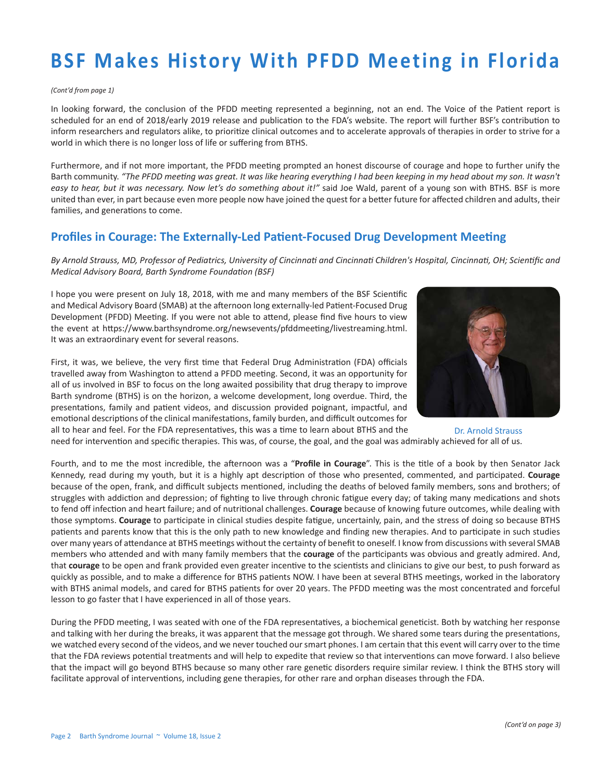#### *(Cont'd from page 1)*

In looking forward, the conclusion of the PFDD meeting represented a beginning, not an end. The Voice of the Patient report is scheduled for an end of 2018/early 2019 release and publication to the FDA's website. The report will further BSF's contribution to inform researchers and regulators alike, to prioritize clinical outcomes and to accelerate approvals of therapies in order to strive for a world in which there is no longer loss of life or suffering from BTHS.

Furthermore, and if not more important, the PFDD meeting prompted an honest discourse of courage and hope to further unify the Barth community. *"The PFDD meeting was great. It was like hearing everything I had been keeping in my head about my son. It wasn't easy to hear, but it was necessary. Now let's do something about it!"* said Joe Wald, parent of a young son with BTHS. BSF is more united than ever, in part because even more people now have joined the quest for a better future for affected children and adults, their families, and generations to come.

## **Profiles in Courage: The Externally-Led Patient-Focused Drug Development Meeting**

*By Arnold Strauss, MD, Professor of Pediatrics, University of Cincinnati and Cincinnati Children's Hospital, Cincinnati, OH; Scientific and Medical Advisory Board, Barth Syndrome Foundation (BSF)*

I hope you were present on July 18, 2018, with me and many members of the BSF Scientific and Medical Advisory Board (SMAB) at the afternoon long externally-led Patient-Focused Drug Development (PFDD) Meeting. If you were not able to attend, please find five hours to view the event at <https://www.barthsyndrome.org/newsevents/pfddmeeting/livestreaming.html>. It was an extraordinary event for several reasons.



First, it was, we believe, the very first time that Federal Drug Administration (FDA) officials travelled away from Washington to attend a PFDD meeting. Second, it was an opportunity for all of us involved in BSF to focus on the long awaited possibility that drug therapy to improve Barth syndrome (BTHS) is on the horizon, a welcome development, long overdue. Third, the presentations, family and patient videos, and discussion provided poignant, impactful, and emotional descriptions of the clinical manifestations, family burden, and difficult outcomes for all to hear and feel. For the FDA representatives, this was a time to learn about BTHS and the

need for intervention and specific therapies. This was, of course, the goal, and the goal was admirably achieved for all of us. Dr. Arnold Strauss

Fourth, and to me the most incredible, the afternoon was a "**Profile in Courage**". This is the title of a book by then Senator Jack Kennedy, read during my youth, but it is a highly apt description of those who presented, commented, and participated. **Courage**  because of the open, frank, and difficult subjects mentioned, including the deaths of beloved family members, sons and brothers; of struggles with addiction and depression; of fighting to live through chronic fatigue every day; of taking many medications and shots to fend off infection and heart failure; and of nutritional challenges. **Courage** because of knowing future outcomes, while dealing with those symptoms. **Courage** to participate in clinical studies despite fatigue, uncertainly, pain, and the stress of doing so because BTHS patients and parents know that this is the only path to new knowledge and finding new therapies. And to participate in such studies over many years of attendance at BTHS meetings without the certainty of benefit to oneself. I know from discussions with several SMAB members who attended and with many family members that the **courage** of the participants was obvious and greatly admired. And, that **courage** to be open and frank provided even greater incentive to the scientists and clinicians to give our best, to push forward as quickly as possible, and to make a difference for BTHS patients NOW. I have been at several BTHS meetings, worked in the laboratory with BTHS animal models, and cared for BTHS patients for over 20 years. The PFDD meeting was the most concentrated and forceful lesson to go faster that I have experienced in all of those years.

During the PFDD meeting, I was seated with one of the FDA representatives, a biochemical geneticist. Both by watching her response and talking with her during the breaks, it was apparent that the message got through. We shared some tears during the presentations, we watched every second of the videos, and we never touched our smart phones. I am certain that this event will carry over to the time that the FDA reviews potential treatments and will help to expedite that review so that interventions can move forward. I also believe that the impact will go beyond BTHS because so many other rare genetic disorders require similar review. I think the BTHS story will facilitate approval of interventions, including gene therapies, for other rare and orphan diseases through the FDA.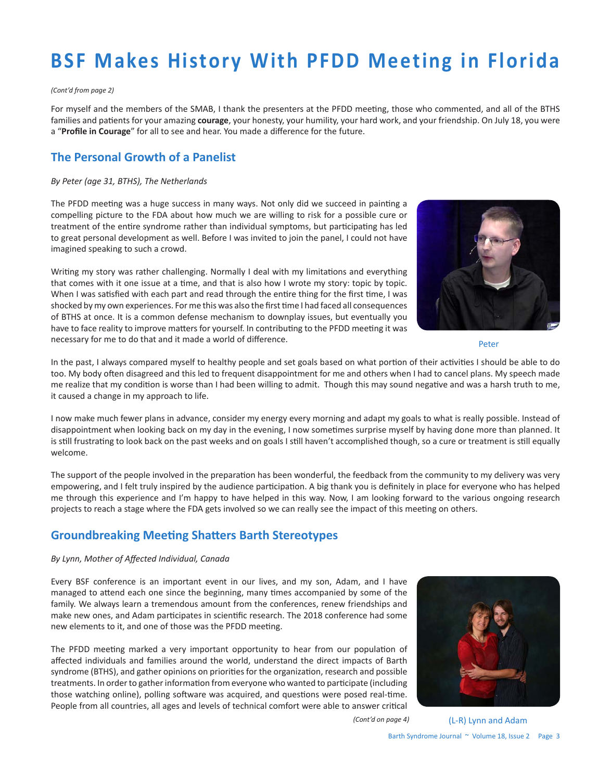#### *(Cont'd from page 2)*

For myself and the members of the SMAB, I thank the presenters at the PFDD meeting, those who commented, and all of the BTHS families and patients for your amazing **courage**, your honesty, your humility, your hard work, and your friendship. On July 18, you were a "**Profile in Courage**" for all to see and hear. You made a difference for the future.

## **The Personal Growth of a Panelist**

### *By Peter (age 31, BTHS), The Netherlands*

The PFDD meeting was a huge success in many ways. Not only did we succeed in painting a compelling picture to the FDA about how much we are willing to risk for a possible cure or treatment of the entire syndrome rather than individual symptoms, but participating has led to great personal development as well. Before I was invited to join the panel, I could not have imagined speaking to such a crowd.

Writing my story was rather challenging. Normally I deal with my limitations and everything that comes with it one issue at a time, and that is also how I wrote my story: topic by topic. When I was satisfied with each part and read through the entire thing for the first time, I was shocked by my own experiences. For me this was also the first time I had faced all consequences of BTHS at once. It is a common defense mechanism to downplay issues, but eventually you have to face reality to improve matters for yourself. In contributing to the PFDD meeting it was necessary for me to do that and it made a world of difference.



Peter

In the past, I always compared myself to healthy people and set goals based on what portion of their activities I should be able to do too. My body often disagreed and this led to frequent disappointment for me and others when I had to cancel plans. My speech made me realize that my condition is worse than I had been willing to admit. Though this may sound negative and was a harsh truth to me, it caused a change in my approach to life.

I now make much fewer plans in advance, consider my energy every morning and adapt my goals to what is really possible. Instead of disappointment when looking back on my day in the evening, I now sometimes surprise myself by having done more than planned. It is still frustrating to look back on the past weeks and on goals I still haven't accomplished though, so a cure or treatment is still equally welcome.

The support of the people involved in the preparation has been wonderful, the feedback from the community to my delivery was very empowering, and I felt truly inspired by the audience participation. A big thank you is definitely in place for everyone who has helped me through this experience and I'm happy to have helped in this way. Now, I am looking forward to the various ongoing research projects to reach a stage where the FDA gets involved so we can really see the impact of this meeting on others.

## **Groundbreaking Meeting Shatters Barth Stereotypes**

### *By Lynn, Mother of Affected Individual, Canada*

Every BSF conference is an important event in our lives, and my son, Adam, and I have managed to attend each one since the beginning, many times accompanied by some of the family. We always learn a tremendous amount from the conferences, renew friendships and make new ones, and Adam participates in scientific research. The 2018 conference had some new elements to it, and one of those was the PFDD meeting.

The PFDD meeting marked a very important opportunity to hear from our population of affected individuals and families around the world, understand the direct impacts of Barth syndrome (BTHS), and gather opinions on priorities for the organization, research and possible treatments. In order to gather information from everyone who wanted to participate (including those watching online), polling software was acquired, and questions were posed real-time. People from all countries, all ages and levels of technical comfort were able to answer critical



*(Cont'd on page 4)*

Barth Syndrome Journal ~ Volume 18, Issue 2 Page 3 (L-R) Lynn and Adam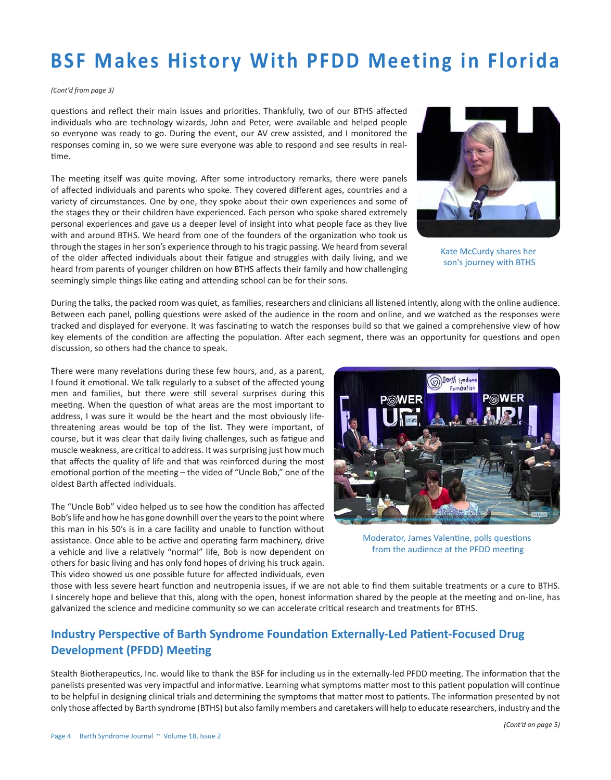#### *(Cont'd from page 3)*

questions and reflect their main issues and priorities. Thankfully, two of our BTHS affected individuals who are technology wizards, John and Peter, were available and helped people so everyone was ready to go. During the event, our AV crew assisted, and I monitored the responses coming in, so we were sure everyone was able to respond and see results in realtime.

The meeting itself was quite moving. After some introductory remarks, there were panels of affected individuals and parents who spoke. They covered different ages, countries and a variety of circumstances. One by one, they spoke about their own experiences and some of the stages they or their children have experienced. Each person who spoke shared extremely personal experiences and gave us a deeper level of insight into what people face as they live with and around BTHS. We heard from one of the founders of the organization who took us through the stages in her son's experience through to his tragic passing. We heard from several of the older affected individuals about their fatigue and struggles with daily living, and we heard from parents of younger children on how BTHS affects their family and how challenging seemingly simple things like eating and attending school can be for their sons.



Kate McCurdy shares her son's journey with BTHS

During the talks, the packed room was quiet, as families, researchers and clinicians all listened intently, along with the online audience. Between each panel, polling questions were asked of the audience in the room and online, and we watched as the responses were tracked and displayed for everyone. It was fascinating to watch the responses build so that we gained a comprehensive view of how key elements of the condition are affecting the population. After each segment, there was an opportunity for questions and open discussion, so others had the chance to speak.

There were many revelations during these few hours, and, as a parent, I found it emotional. We talk regularly to a subset of the affected young men and families, but there were still several surprises during this meeting. When the question of what areas are the most important to address, I was sure it would be the heart and the most obviously lifethreatening areas would be top of the list. They were important, of course, but it was clear that daily living challenges, such as fatigue and muscle weakness, are critical to address. It was surprising just how much that affects the quality of life and that was reinforced during the most emotional portion of the meeting – the video of "Uncle Bob," one of the oldest Barth affected individuals.

The "Uncle Bob" video helped us to see how the condition has affected Bob's life and how he has gone downhill over the years to the point where this man in his 50's is in a care facility and unable to function without assistance. Once able to be active and operating farm machinery, drive a vehicle and live a relatively "normal" life, Bob is now dependent on others for basic living and has only fond hopes of driving his truck again. This video showed us one possible future for affected individuals, even



Moderator, James Valentine, polls questions from the audience at the PFDD meeting

those with less severe heart function and neutropenia issues, if we are not able to find them suitable treatments or a cure to BTHS. I sincerely hope and believe that this, along with the open, honest information shared by the people at the meeting and on-line, has galvanized the science and medicine community so we can accelerate critical research and treatments for BTHS.

## **Industry Perspective of Barth Syndrome Foundation Externally-Led Patient-Focused Drug Development (PFDD) Meeting**

Stealth Biotherapeutics, Inc. would like to thank the BSF for including us in the externally-led PFDD meeting. The information that the panelists presented was very impactful and informative. Learning what symptoms matter most to this patient population will continue to be helpful in designing clinical trials and determining the symptoms that matter most to patients. The information presented by not only those affected by Barth syndrome (BTHS) but also family members and caretakers will help to educate researchers, industry and the